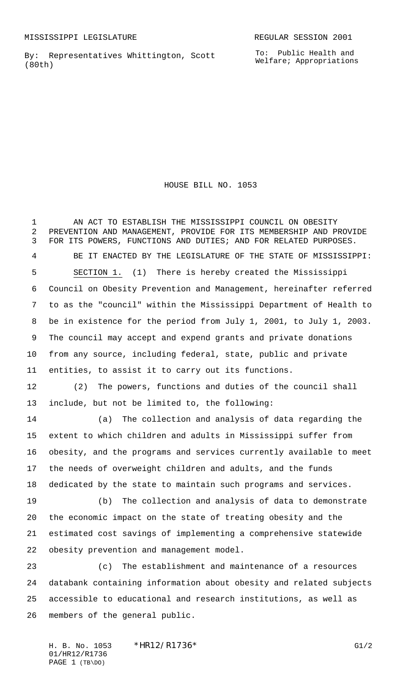By: Representatives Whittington, Scott (80th)

HOUSE BILL NO. 1053

 AN ACT TO ESTABLISH THE MISSISSIPPI COUNCIL ON OBESITY PREVENTION AND MANAGEMENT, PROVIDE FOR ITS MEMBERSHIP AND PROVIDE FOR ITS POWERS, FUNCTIONS AND DUTIES; AND FOR RELATED PURPOSES. BE IT ENACTED BY THE LEGISLATURE OF THE STATE OF MISSISSIPPI: SECTION 1. (1) There is hereby created the Mississippi Council on Obesity Prevention and Management, hereinafter referred to as the "council" within the Mississippi Department of Health to be in existence for the period from July 1, 2001, to July 1, 2003. The council may accept and expend grants and private donations from any source, including federal, state, public and private entities, to assist it to carry out its functions.

 (2) The powers, functions and duties of the council shall include, but not be limited to, the following:

 (a) The collection and analysis of data regarding the extent to which children and adults in Mississippi suffer from obesity, and the programs and services currently available to meet the needs of overweight children and adults, and the funds dedicated by the state to maintain such programs and services.

 (b) The collection and analysis of data to demonstrate the economic impact on the state of treating obesity and the estimated cost savings of implementing a comprehensive statewide obesity prevention and management model.

 (c) The establishment and maintenance of a resources databank containing information about obesity and related subjects accessible to educational and research institutions, as well as members of the general public.

H. B. No. 1053 \*HR12/R1736\* G1/2 01/HR12/R1736 PAGE 1 (TB\DO)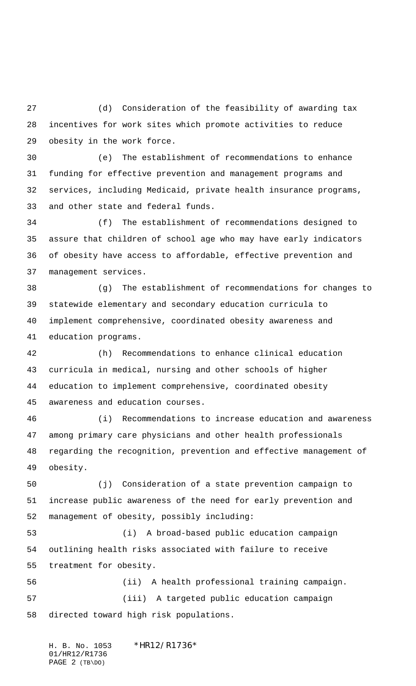(d) Consideration of the feasibility of awarding tax incentives for work sites which promote activities to reduce obesity in the work force.

 (e) The establishment of recommendations to enhance funding for effective prevention and management programs and services, including Medicaid, private health insurance programs, and other state and federal funds.

 (f) The establishment of recommendations designed to assure that children of school age who may have early indicators of obesity have access to affordable, effective prevention and management services.

 (g) The establishment of recommendations for changes to statewide elementary and secondary education curricula to implement comprehensive, coordinated obesity awareness and education programs.

 (h) Recommendations to enhance clinical education curricula in medical, nursing and other schools of higher education to implement comprehensive, coordinated obesity awareness and education courses.

 (i) Recommendations to increase education and awareness among primary care physicians and other health professionals regarding the recognition, prevention and effective management of obesity.

 (j) Consideration of a state prevention campaign to increase public awareness of the need for early prevention and management of obesity, possibly including:

 (i) A broad-based public education campaign outlining health risks associated with failure to receive treatment for obesity.

 (ii) A health professional training campaign. (iii) A targeted public education campaign directed toward high risk populations.

H. B. No. 1053 \*HR12/R1736\* 01/HR12/R1736 PAGE 2 (TB\DO)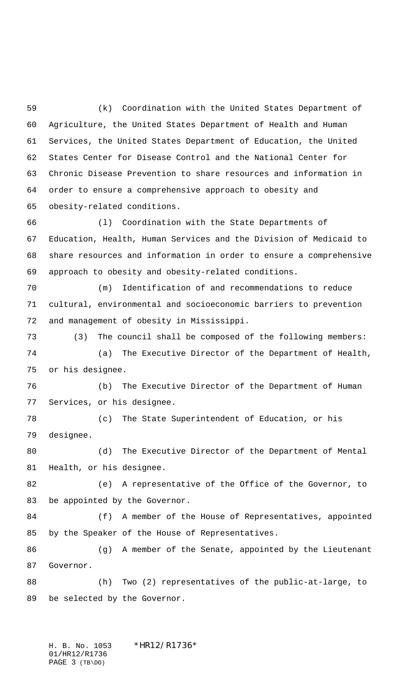(k) Coordination with the United States Department of Agriculture, the United States Department of Health and Human Services, the United States Department of Education, the United States Center for Disease Control and the National Center for Chronic Disease Prevention to share resources and information in order to ensure a comprehensive approach to obesity and obesity-related conditions.

 (l) Coordination with the State Departments of Education, Health, Human Services and the Division of Medicaid to share resources and information in order to ensure a comprehensive approach to obesity and obesity-related conditions.

 (m) Identification of and recommendations to reduce cultural, environmental and socioeconomic barriers to prevention and management of obesity in Mississippi.

 (3) The council shall be composed of the following members: (a) The Executive Director of the Department of Health, or his designee.

 (b) The Executive Director of the Department of Human Services, or his designee.

 (c) The State Superintendent of Education, or his designee.

 (d) The Executive Director of the Department of Mental Health, or his designee.

 (e) A representative of the Office of the Governor, to be appointed by the Governor.

 (f) A member of the House of Representatives, appointed by the Speaker of the House of Representatives.

86 (g) A member of the Senate, appointed by the Lieutenant Governor.

 (h) Two (2) representatives of the public-at-large, to be selected by the Governor.

H. B. No. 1053 \*HR12/R1736\* 01/HR12/R1736 PAGE 3 (TB\DO)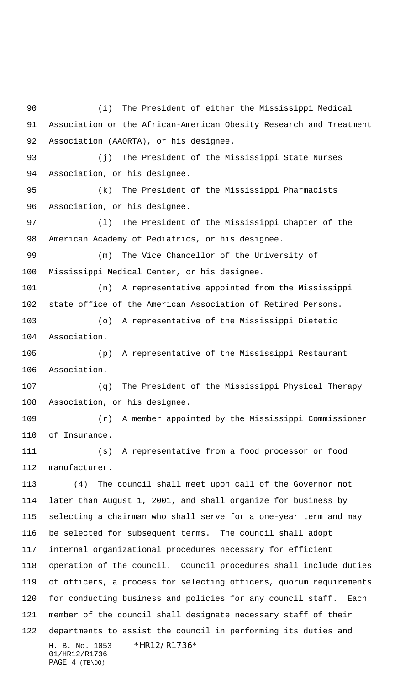H. B. No. 1053 \*HR12/R1736\* 01/HR12/R1736 PAGE 4 (TB\DO) (i) The President of either the Mississippi Medical Association or the African-American Obesity Research and Treatment Association (AAORTA), or his designee. (j) The President of the Mississippi State Nurses Association, or his designee. (k) The President of the Mississippi Pharmacists Association, or his designee. (l) The President of the Mississippi Chapter of the American Academy of Pediatrics, or his designee. (m) The Vice Chancellor of the University of Mississippi Medical Center, or his designee. (n) A representative appointed from the Mississippi state office of the American Association of Retired Persons. (o) A representative of the Mississippi Dietetic Association. (p) A representative of the Mississippi Restaurant Association. (q) The President of the Mississippi Physical Therapy Association, or his designee. (r) A member appointed by the Mississippi Commissioner of Insurance. (s) A representative from a food processor or food manufacturer. (4) The council shall meet upon call of the Governor not later than August 1, 2001, and shall organize for business by selecting a chairman who shall serve for a one-year term and may be selected for subsequent terms. The council shall adopt internal organizational procedures necessary for efficient operation of the council. Council procedures shall include duties of officers, a process for selecting officers, quorum requirements for conducting business and policies for any council staff. Each member of the council shall designate necessary staff of their departments to assist the council in performing its duties and